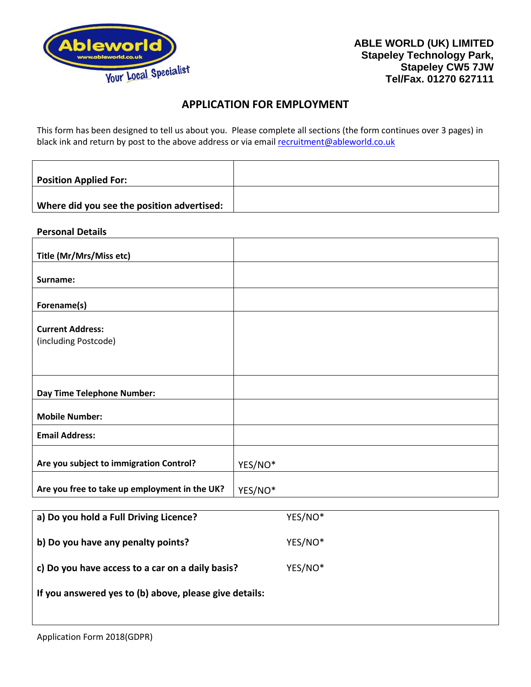

# **APPLICATION FOR EMPLOYMENT**

This form has been designed to tell us about you. Please complete all sections (the form continues over 3 pages) in black ink and return by post to the above address or via email [recruitment@ableworld.co.uk](mailto:recruitment@ableworld.co.uk)

| <b>Position Applied For:</b>               |  |
|--------------------------------------------|--|
|                                            |  |
| Where did you see the position advertised: |  |

#### **Personal Details**

| Title (Mr/Mrs/Miss etc)                       |         |
|-----------------------------------------------|---------|
|                                               |         |
| Surname:                                      |         |
|                                               |         |
| Forename(s)                                   |         |
|                                               |         |
| <b>Current Address:</b>                       |         |
| (including Postcode)                          |         |
|                                               |         |
|                                               |         |
|                                               |         |
|                                               |         |
| <b>Day Time Telephone Number:</b>             |         |
|                                               |         |
| <b>Mobile Number:</b>                         |         |
| <b>Email Address:</b>                         |         |
|                                               |         |
| Are you subject to immigration Control?       |         |
|                                               | YES/NO* |
|                                               |         |
| Are you free to take up employment in the UK? | YES/NO* |

| a) Do you hold a Full Driving Licence?                 | YES/NO* |
|--------------------------------------------------------|---------|
| b) Do you have any penalty points?                     | YES/NO* |
| c) Do you have access to a car on a daily basis?       | YES/NO* |
| If you answered yes to (b) above, please give details: |         |
|                                                        |         |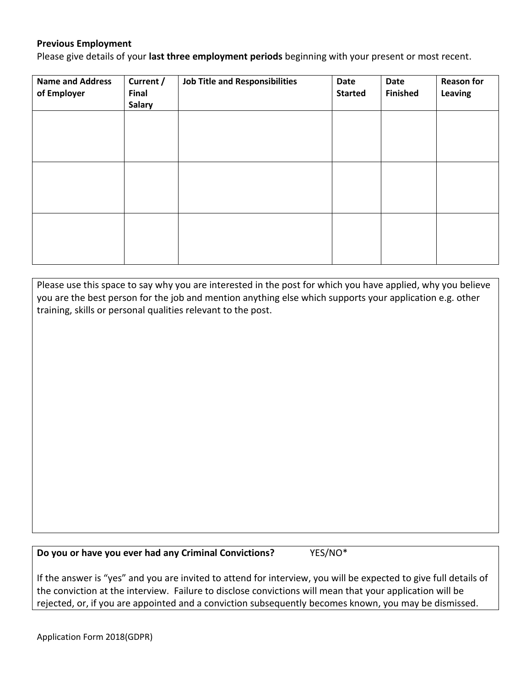## **Previous Employment**

Please give details of your **last three employment periods** beginning with your present or most recent.

| <b>Name and Address</b><br>of Employer | Current /<br><b>Final</b><br><b>Salary</b> | <b>Job Title and Responsibilities</b> | Date<br><b>Started</b> | Date<br><b>Finished</b> | <b>Reason for</b><br>Leaving |
|----------------------------------------|--------------------------------------------|---------------------------------------|------------------------|-------------------------|------------------------------|
|                                        |                                            |                                       |                        |                         |                              |
|                                        |                                            |                                       |                        |                         |                              |
|                                        |                                            |                                       |                        |                         |                              |
|                                        |                                            |                                       |                        |                         |                              |
|                                        |                                            |                                       |                        |                         |                              |
|                                        |                                            |                                       |                        |                         |                              |

Please use this space to say why you are interested in the post for which you have applied, why you believe you are the best person for the job and mention anything else which supports your application e.g. other training, skills or personal qualities relevant to the post.

**Do you or have you ever had any Criminal Convictions?** YES/NO\*

If the answer is "yes" and you are invited to attend for interview, you will be expected to give full details of the conviction at the interview. Failure to disclose convictions will mean that your application will be rejected, or, if you are appointed and a conviction subsequently becomes known, you may be dismissed.